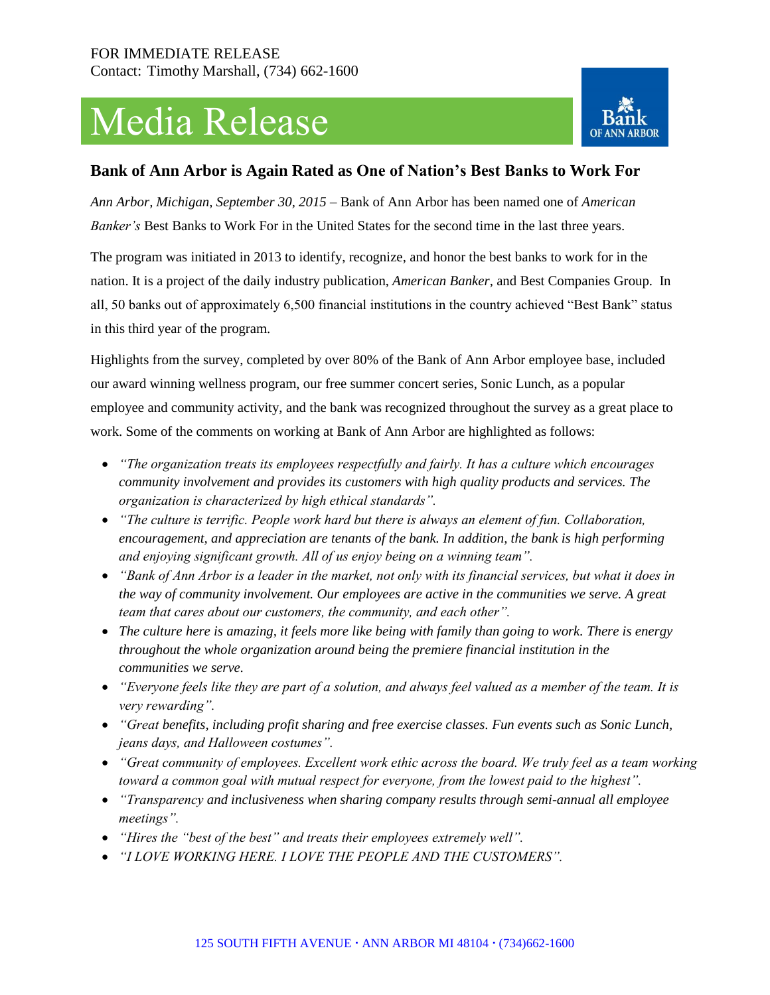# Media Release



## **Bank of Ann Arbor is Again Rated as One of Nation's Best Banks to Work For**

*Ann Arbor, Michigan, September 30, 2015* – Bank of Ann Arbor has been named one of *American Banker's* Best Banks to Work For in the United States for the second time in the last three years.

The program was initiated in 2013 to identify, recognize, and honor the best banks to work for in the nation. It is a project of the daily industry publication, *American Banker,* and Best Companies Group. In all, 50 banks out of approximately 6,500 financial institutions in the country achieved "Best Bank" status in this third year of the program.

Highlights from the survey, completed by over 80% of the Bank of Ann Arbor employee base, included our award winning wellness program, our free summer concert series, Sonic Lunch, as a popular employee and community activity, and the bank was recognized throughout the survey as a great place to work. Some of the comments on working at Bank of Ann Arbor are highlighted as follows:

- *"The organization treats its employees respectfully and fairly. It has a culture which encourages community involvement and provides its customers with high quality products and services. The organization is characterized by high ethical standards".*
- *"The culture is terrific. People work hard but there is always an element of fun. Collaboration, encouragement, and appreciation are tenants of the bank. In addition, the bank is high performing and enjoying significant growth. All of us enjoy being on a winning team".*
- *"Bank of Ann Arbor is a leader in the market, not only with its financial services, but what it does in the way of community involvement. Our employees are active in the communities we serve. A great team that cares about our customers, the community, and each other".*
- *The culture here is amazing, it feels more like being with family than going to work. There is energy throughout the whole organization around being the premiere financial institution in the communities we serve.*
- *"Everyone feels like they are part of a solution, and always feel valued as a member of the team. It is very rewarding".*
- *"Great benefits, including profit sharing and free exercise classes. Fun events such as Sonic Lunch, jeans days, and Halloween costumes".*
- *"Great community of employees. Excellent work ethic across the board. We truly feel as a team working toward a common goal with mutual respect for everyone, from the lowest paid to the highest".*
- *"Transparency and inclusiveness when sharing company results through semi-annual all employee meetings".*
- *"Hires the "best of the best" and treats their employees extremely well".*
- *"I LOVE WORKING HERE. I LOVE THE PEOPLE AND THE CUSTOMERS".*